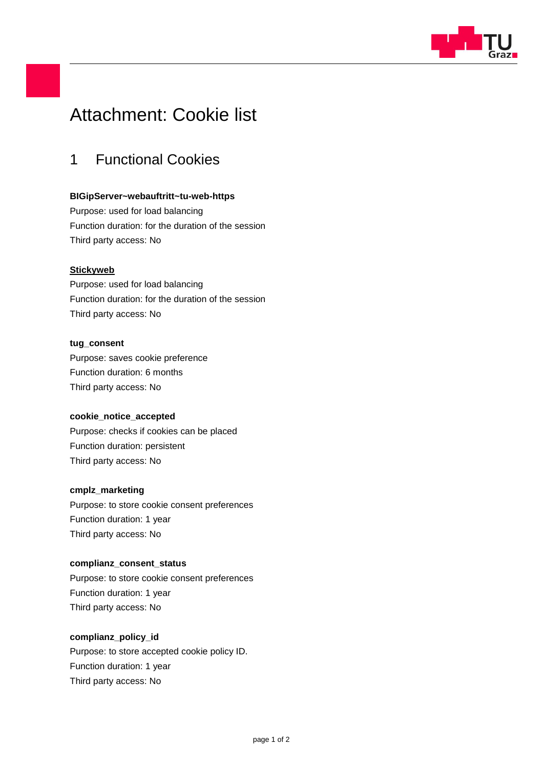

# Attachment: Cookie list

### 1 Functional Cookies

#### **BIGipServer~webauftritt~tu-web-https**

Purpose: used for load balancing Function duration: for the duration of the session Third party access: No

#### **Stickyweb**

Purpose: used for load balancing Function duration: for the duration of the session Third party access: No

#### **tug\_consent**

Purpose: saves cookie preference Function duration: 6 months Third party access: No

#### **cookie\_notice\_accepted**

Purpose: checks if cookies can be placed Function duration: persistent Third party access: No

#### **cmplz\_marketing**

Purpose: to store cookie consent preferences Function duration: 1 year Third party access: No

#### **complianz\_consent\_status**

Purpose: to store cookie consent preferences Function duration: 1 year Third party access: No

#### **complianz\_policy\_id**

Purpose: to store accepted cookie policy ID. Function duration: 1 year Third party access: No